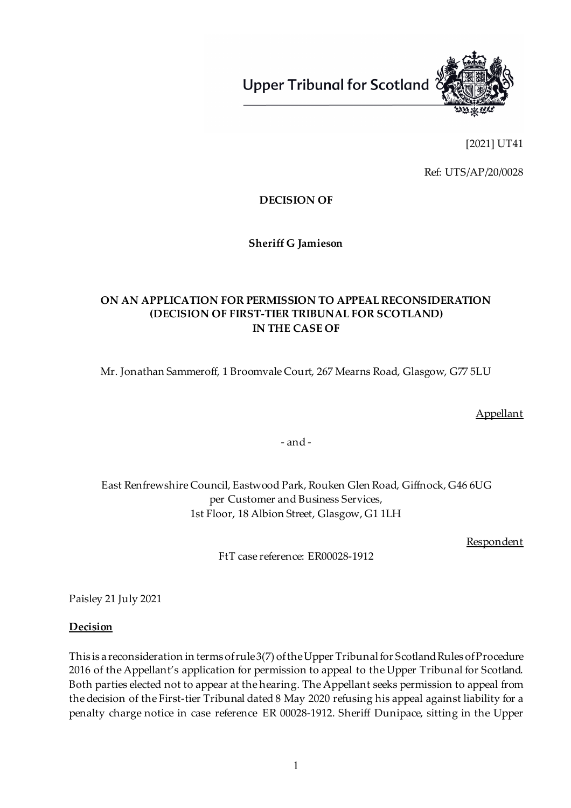

[2021] UT41

Ref: UTS/AP/20/0028

**DECISION OF**

**Sheriff G Jamieson**

### **ON AN APPLICATION FOR PERMISSION TO APPEAL RECONSIDERATION (DECISION OF FIRST-TIER TRIBUNAL FOR SCOTLAND) IN THE CASE OF**

Mr. Jonathan Sammeroff, 1 Broomvale Court, 267 Mearns Road, Glasgow, G77 5LU

Appellant

- and -

East Renfrewshire Council, Eastwood Park, Rouken Glen Road, Giffnock, G46 6UG per Customer and Business Services, 1st Floor, 18 Albion Street, Glasgow, G1 1LH

**Respondent** 

FtT case reference: ER00028-1912

Paisley 21 July 2021

#### **Decision**

This is a reconsideration in terms of rule 3(7) of the Upper Tribunal for Scotland Rules of Procedure 2016 of the Appellant's application for permission to appeal to the Upper Tribunal for Scotland. Both parties elected not to appear at the hearing. The Appellant seeks permission to appeal from the decision of the First-tier Tribunal dated 8 May 2020 refusing his appeal against liability for a penalty charge notice in case reference ER 00028-1912. Sheriff Dunipace, sitting in the Upper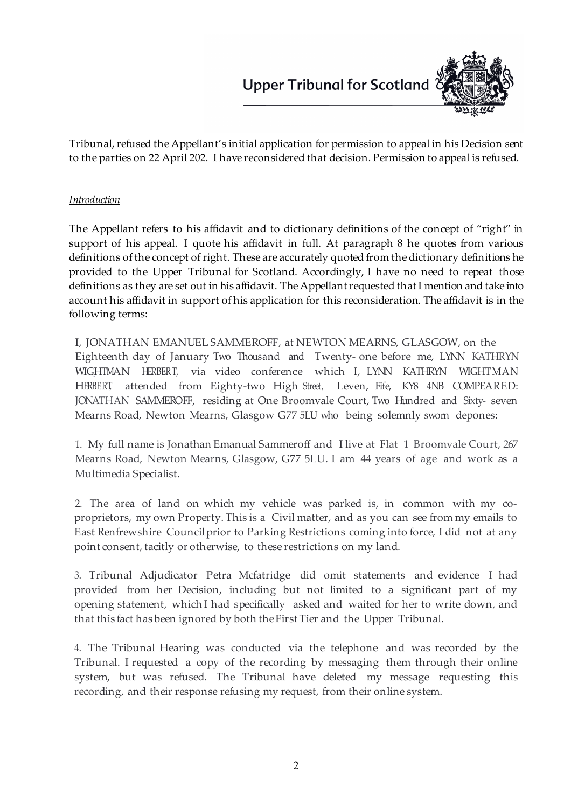

Tribunal, refused the Appellant's initial application for permission to appeal in his Decision sent to the parties on 22 April 202. I have reconsidered that decision. Permission to appeal is refused.

#### *Introduction*

The Appellant refers to his affidavit and to dictionary definitions of the concept of "right" in support of his appeal. I quote his affidavit in full. At paragraph 8 he quotes from various definitions of the concept of right. These are accurately quoted from the dictionary definitions he provided to the Upper Tribunal for Scotland. Accordingly, I have no need to repeat those definitions as they are set out in his affidavit. The Appellant requested that I mention and take into account his affidavit in support of his application for this reconsideration. The affidavit is in the following terms:

I, JONATHAN EMANUEL SAMMEROFF, at NEWTON MEARNS, GLASGOW, on the Eighteenth day of January Two Thousand and Twenty- one before me, LYNN KATHRYN WIGHTMAN HERBERT, via video conference which I, LYNN KATHRYN WIGHTMAN HERBERT, attended from Eighty-two High Street, Leven, Fife, KY8 4NB COMPEARED: JONATHAN SAMMEROFF, residing at One Broomvale Court, Two Hundred and Sixty- seven Mearns Road, Newton Mearns, Glasgow G77 5LU who being solemnly sworn depones:

1. My full name is Jonathan Emanual Sammeroff and I live at Flat 1 Broomvale Court, 267 Mearns Road, Newton Mearns, Glasgow, G77 5LU. I am 44 years of age and work as a Multimedia Specialist.

2. The area of land on which my vehicle was parked is, in common with my coproprietors, my own Property. This is a Civil matter, and as you can see from my emails to East Renfrewshire Councilprior to Parking Restrictions coming into force, I did not at any point consent, tacitly or otherwise, to these restrictions on my land.

3. Tribunal Adjudicator Petra Mcfatridge did omit statements and evidence I had provided from her Decision, including but not limited to a significant part of my opening statement, which I had specifically asked and waited for her to write down, and that this fact has been ignored by both theFirst Tier and the Upper Tribunal.

4. The Tribunal Hearing was conducted via the telephone and was recorded by the Tribunal. I requested a copy of the recording by messaging them through their online system, but was refused. The Tribunal have deleted my message requesting this recording, and their response refusing my request, from their online system.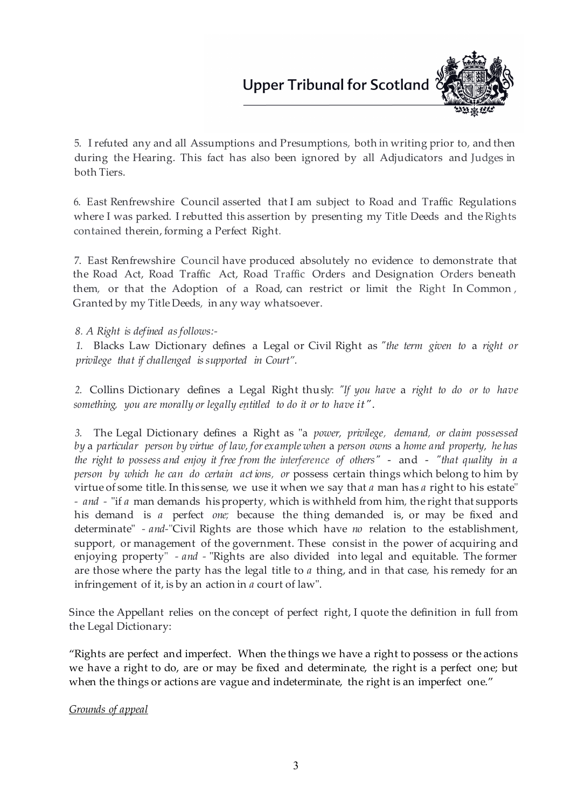

5. I refuted any and all Assumptions and Presumptions, both in writing prior to, and then during the Hearing. This fact has also been ignored by all Adjudicators and Judges in both Tiers.

6. East Renfrewshire Council asserted that I am subject to Road and Traffic Regulations where I was parked. I rebutted this assertion by presenting my Title Deeds and the Rights contained therein, forming a Perfect Right.

7. East Renfrewshire Council have produced absolutely no evidence to demonstrate that the Road Act, Road Traffic Act, Road Traffic Orders and Designation Orders beneath them, or that the Adoption of a Road, can restrict or limit the Right In Common , Granted by my Title Deeds, in any way whatsoever.

#### *8. A Right is defined asfollows:-*

*1.* Blacks Law Dictionary defines a Legal or Civil Right as *"the term given to* a *right or privilege that if challenged issupported in Court".*

*2.* Collins Dictionary defines a Legal Right thusly: *"If you have* a *right to do or to have something, you are morally or legally e\_ntitled to do it or to have it".*

*3.* The Legal Dictionary defines a Right as "a *power, privilege, demand, or claim possessed by* a *particular person by virtue of law, forexample when* a *person owns* a *home and property, he has the right to possess and enjoy it free from the interference of others"* - and - *"that quality in a person by which he can do certain act ions, or* possess certain things which belong to him by virtue of some title. In this sense, we use it when we say that *a* man has *a* right to his estate" *- and -* "if *a* man demands hisproperty, which is withheld from him, the right that supports his demand is *a* perfect *one;* because the thing demanded is, or may be fixed and determinate" *- and-*"Civil Rights are those which have *no* relation to the establishment, support, or management of the government. These consist in the power of acquiring and enjoying property" *- and -* "Rights are also divided into legal and equitable. The former are those where the party has the legal title to *a* thing, and in that case, his remedy for an infringement of it, is by an action in *a* court of law".

Since the Appellant relies on the concept of perfect right, I quote the definition in full from the Legal Dictionary:

"Rights are perfect and imperfect. When the things we have a right to possess or the actions we have a right to do, are or may be fixed and determinate, the right is a perfect one; but when the things or actions are vague and indeterminate, the right is an imperfect one."

#### *Grounds of appeal*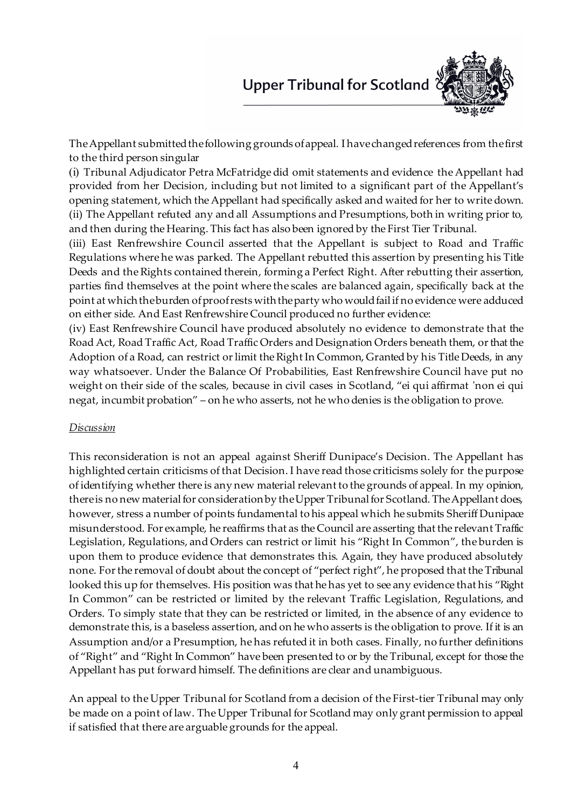

The Appellant submitted the following grounds of appeal. I have changed references from the first to the third person singular

(i) Tribunal Adjudicator Petra McFatridge did omit statements and evidence the Appellant had provided from her Decision, including but not limited to a significant part of the Appellant's opening statement, which the Appellant had specifically asked and waited for her to write down. (ii) The Appellant refuted any and all Assumptions and Presumptions, both in writing prior to, and then during the Hearing. This fact has also been ignored by the First Tier Tribunal.

(iii) East Renfrewshire Council asserted that the Appellant is subject to Road and Traffic Regulations where he was parked. The Appellant rebutted this assertion by presenting his Title Deeds and the Rights contained therein, forming a Perfect Right. After rebutting their assertion, parties find themselves at the point where the scales are balanced again, specifically back at the point at which the burden of proof rests with the party who would fail if no evidence were adduced on either side. And East Renfrewshire Council produced no further evidence:

(iv) East Renfrewshire Council have produced absolutely no evidence to demonstrate that the Road Act, Road Traffic Act, Road Traffic Orders and Designation Orders beneath them, or that the Adoption of a Road, can restrict or limit the Right In Common, Granted by his Title Deeds, in any way whatsoever. Under the Balance Of Probabilities, East Renfrewshire Council have put no weight on their side of the scales, because in civil cases in Scotland, "ei qui affirmat 'non ei qui negat, incumbit probation" – on he who asserts, not he who denies is the obligation to prove.

#### *Discussion*

This reconsideration is not an appeal against Sheriff Dunipace's Decision. The Appellant has highlighted certain criticisms of that Decision. I have read those criticisms solely for the purpose of identifying whether there is any new material relevant to the grounds of appeal. In my opinion, there is no new material for consideration by the Upper Tribunal for Scotland. The Appellant does, however, stress a number of points fundamental to his appeal which he submits Sheriff Dunipace misunderstood. For example, he reaffirms that as the Council are asserting that the relevant Traffic Legislation, Regulations, and Orders can restrict or limit his "Right In Common", the burden is upon them to produce evidence that demonstrates this. Again, they have produced absolutely none. For the removal of doubt about the concept of "perfect right", he proposed that the Tribunal looked this up for themselves. His position was that he has yet to see any evidence that his "Right In Common" can be restricted or limited by the relevant Traffic Legislation, Regulations, and Orders. To simply state that they can be restricted or limited, in the absence of any evidence to demonstrate this, is a baseless assertion, and on he who asserts is the obligation to prove. If it is an Assumption and/or a Presumption, he has refuted it in both cases. Finally, no further definitions of "Right" and "Right In Common" have been presented to or by the Tribunal, except for those the Appellant has put forward himself. The definitions are clear and unambiguous.

An appeal to the Upper Tribunal for Scotland from a decision of the First-tier Tribunal may only be made on a point of law. The Upper Tribunal for Scotland may only grant permission to appeal if satisfied that there are arguable grounds for the appeal.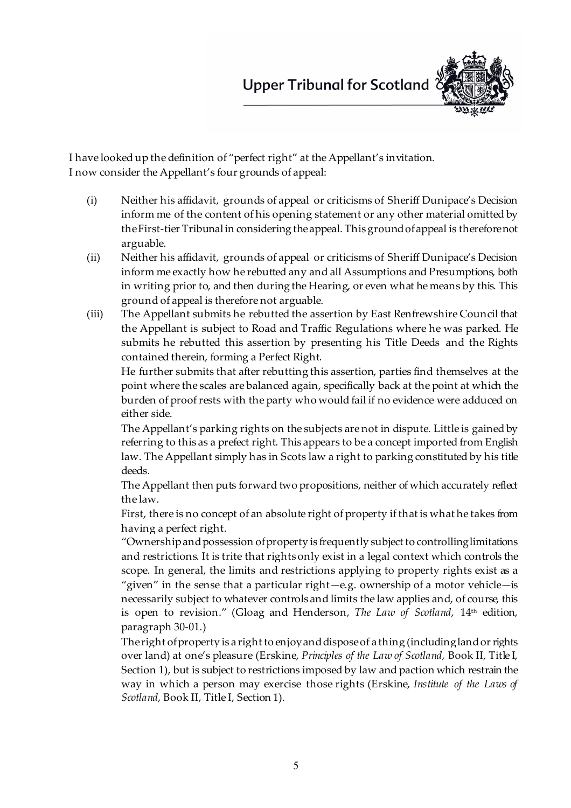

I have looked up the definition of "perfect right" at the Appellant's invitation. I now consider the Appellant's four grounds of appeal:

- (i) Neither his affidavit, grounds of appeal or criticisms of Sheriff Dunipace's Decision inform me of the content of his opening statement or any other material omitted by the First-tier Tribunal in considering the appeal. This ground of appeal is therefore not arguable.
- (ii) Neither his affidavit, grounds of appeal or criticisms of Sheriff Dunipace's Decision inform me exactly how he rebutted any and all Assumptions and Presumptions, both in writing prior to, and then during the Hearing, or even what he means by this. This ground of appeal is therefore not arguable.
- (iii) The Appellant submits he rebutted the assertion by East Renfrewshire Council that the Appellant is subject to Road and Traffic Regulations where he was parked. He submits he rebutted this assertion by presenting his Title Deeds and the Rights contained therein, forming a Perfect Right.

He further submits that after rebutting this assertion, parties find themselves at the point where the scales are balanced again, specifically back at the point at which the burden of proof rests with the party who would fail if no evidence were adduced on either side.

The Appellant's parking rights on the subjects are not in dispute. Little is gained by referring to this as a prefect right. This appears to be a concept imported from English law. The Appellant simply has in Scots law a right to parking constituted by his title deeds.

The Appellant then puts forward two propositions, neither of which accurately reflect the law.

First, there is no concept of an absolute right of property if that is what he takes from having a perfect right.

"Ownership and possession of property is frequently subject to controlling limitations and restrictions. It is trite that rights only exist in a legal context which controls the scope. In general, the limits and restrictions applying to property rights exist as a "given" in the sense that a particular right—e.g. ownership of a motor vehicle—is necessarily subject to whatever controls and limits the law applies and, of course, this is open to revision." (Gloag and Henderson, *The Law of Scotland*, 14<sup>th</sup> edition, paragraph 30-01.)

The right of property is a right to enjoy and dispose of a thing (including land or rights over land) at one's pleasure (Erskine, *Principles of the Law of Scotland*, Book II, Title I, Section 1), but is subject to restrictions imposed by law and paction which restrain the way in which a person may exercise those rights (Erskine, *Institute of the Laws of Scotland*, Book II, Title I, Section 1).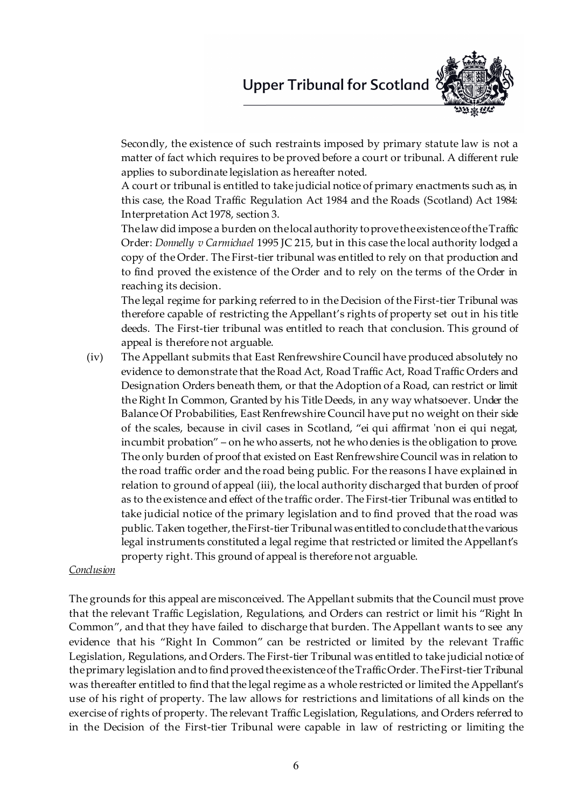

Secondly, the existence of such restraints imposed by primary statute law is not a matter of fact which requires to be proved before a court or tribunal. A different rule applies to subordinate legislation as hereafter noted.

A court or tribunal is entitled to take judicial notice of primary enactments such as, in this case, the Road Traffic Regulation Act 1984 and the Roads (Scotland) Act 1984: Interpretation Act 1978, section 3.

The law did impose a burden on the local authority to prove the existence of the Traffic Order: *Donnelly v Carmichael* 1995 JC 215, but in this case the local authority lodged a copy of the Order. The First-tier tribunal was entitled to rely on that production and to find proved the existence of the Order and to rely on the terms of the Order in reaching its decision.

The legal regime for parking referred to in the Decision of the First-tier Tribunal was therefore capable of restricting the Appellant's rights of property set out in his title deeds. The First-tier tribunal was entitled to reach that conclusion. This ground of appeal is therefore not arguable.

(iv) The Appellant submits that East Renfrewshire Council have produced absolutely no evidence to demonstrate that the Road Act, Road Traffic Act, Road Traffic Orders and Designation Orders beneath them, or that the Adoption of a Road, can restrict or limit the Right In Common, Granted by his Title Deeds, in any way whatsoever. Under the Balance Of Probabilities, East Renfrewshire Council have put no weight on their side of the scales, because in civil cases in Scotland, "ei qui affirmat 'non ei qui negat, incumbit probation" – on he who asserts, not he who denies is the obligation to prove. The only burden of proof that existed on East Renfrewshire Council was in relation to the road traffic order and the road being public. For the reasons I have explained in relation to ground of appeal (iii), the local authority discharged that burden of proof as to the existence and effect of the traffic order. The First-tier Tribunal was entitled to take judicial notice of the primary legislation and to find proved that the road was public. Taken together, the First-tier Tribunal was entitled to conclude that thevarious legal instruments constituted a legal regime that restricted or limited the Appellant's property right. This ground of appeal is therefore not arguable.

#### *Conclusion*

The grounds for this appeal are misconceived. The Appellant submits that the Council must prove that the relevant Traffic Legislation, Regulations, and Orders can restrict or limit his "Right In Common", and that they have failed to discharge that burden. The Appellant wants to see any evidence that his "Right In Common" can be restricted or limited by the relevant Traffic Legislation, Regulations, and Orders. The First-tier Tribunal was entitled to take judicial notice of the primary legislation and to find proved the existence of the Traffic Order. The First-tier Tribunal was thereafter entitled to find that the legal regime as a whole restricted or limited the Appellant's use of his right of property. The law allows for restrictions and limitations of all kinds on the exercise of rights of property. The relevant Traffic Legislation, Regulations, and Orders referred to in the Decision of the First-tier Tribunal were capable in law of restricting or limiting the